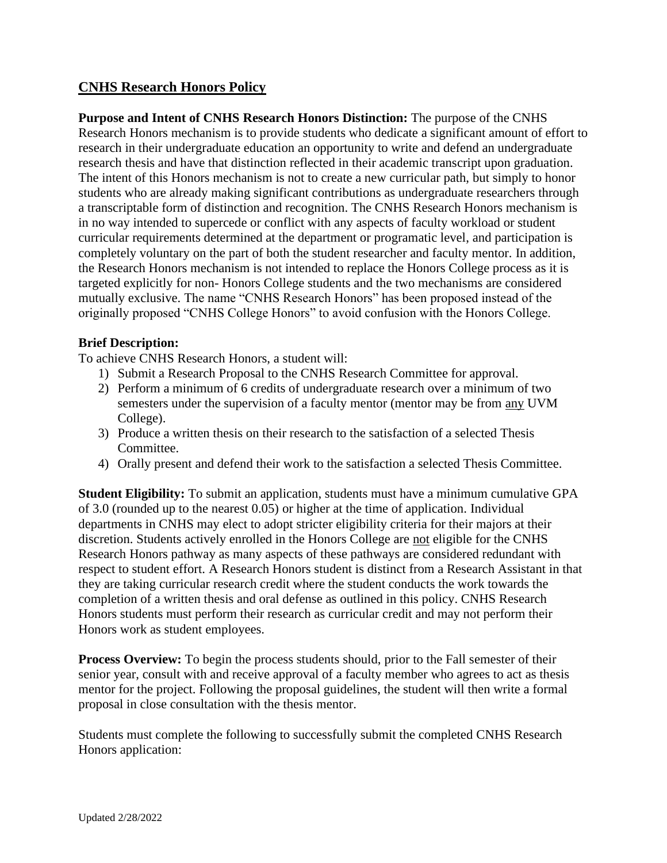# **CNHS Research Honors Policy**

**Purpose and Intent of CNHS Research Honors Distinction:** The purpose of the CNHS Research Honors mechanism is to provide students who dedicate a significant amount of effort to research in their undergraduate education an opportunity to write and defend an undergraduate research thesis and have that distinction reflected in their academic transcript upon graduation. The intent of this Honors mechanism is not to create a new curricular path, but simply to honor students who are already making significant contributions as undergraduate researchers through a transcriptable form of distinction and recognition. The CNHS Research Honors mechanism is in no way intended to supercede or conflict with any aspects of faculty workload or student curricular requirements determined at the department or programatic level, and participation is completely voluntary on the part of both the student researcher and faculty mentor. In addition, the Research Honors mechanism is not intended to replace the Honors College process as it is targeted explicitly for non- Honors College students and the two mechanisms are considered mutually exclusive. The name "CNHS Research Honors" has been proposed instead of the originally proposed "CNHS College Honors" to avoid confusion with the Honors College.

## **Brief Description:**

To achieve CNHS Research Honors, a student will:

- 1) Submit a Research Proposal to the CNHS Research Committee for approval.
- 2) Perform a minimum of 6 credits of undergraduate research over a minimum of two semesters under the supervision of a faculty mentor (mentor may be from any UVM College).
- 3) Produce a written thesis on their research to the satisfaction of a selected Thesis Committee.
- 4) Orally present and defend their work to the satisfaction a selected Thesis Committee.

**Student Eligibility:** To submit an application, students must have a minimum cumulative GPA of 3.0 (rounded up to the nearest 0.05) or higher at the time of application. Individual departments in CNHS may elect to adopt stricter eligibility criteria for their majors at their discretion. Students actively enrolled in the Honors College are not eligible for the CNHS Research Honors pathway as many aspects of these pathways are considered redundant with respect to student effort. A Research Honors student is distinct from a Research Assistant in that they are taking curricular research credit where the student conducts the work towards the completion of a written thesis and oral defense as outlined in this policy. CNHS Research Honors students must perform their research as curricular credit and may not perform their Honors work as student employees.

**Process Overview:** To begin the process students should, prior to the Fall semester of their senior year, consult with and receive approval of a faculty member who agrees to act as thesis mentor for the project. Following the proposal guidelines, the student will then write a formal proposal in close consultation with the thesis mentor.

Students must complete the following to successfully submit the completed CNHS Research Honors application: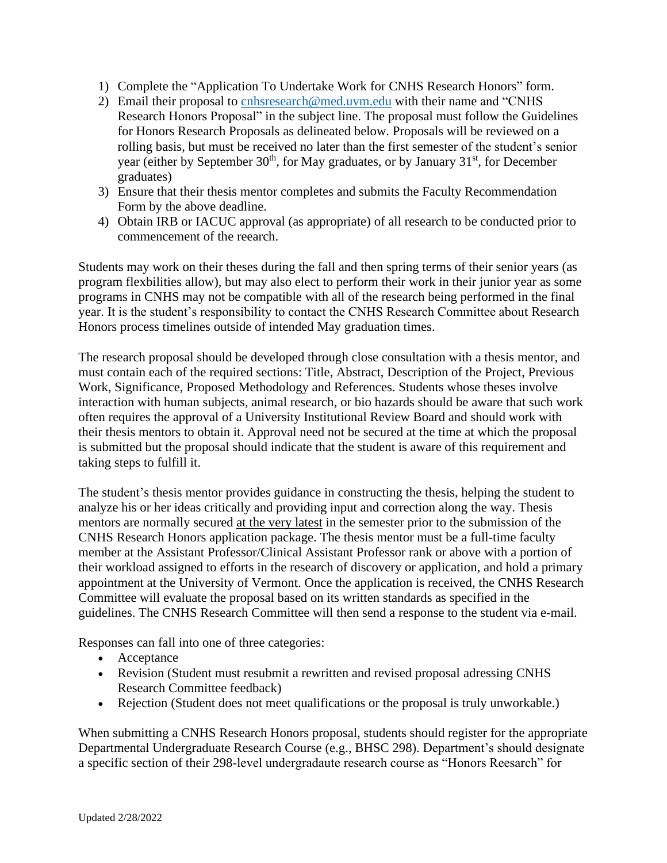- 1) Complete the "Application To Undertake Work for CNHS Research Honors" form.
- 2) Email their proposal to [cnhsresearch@med.uvm.edu](mailto:cnhsresearch@med.uvm.edu) with their name and "CNHS" Research Honors Proposal" in the subject line. The proposal must follow the Guidelines for Honors Research Proposals as delineated below. Proposals will be reviewed on a rolling basis, but must be received no later than the first semester of the student's senior year (either by September 30<sup>th</sup>, for May graduates, or by January 31<sup>st</sup>, for December graduates)
- 3) Ensure that their thesis mentor completes and submits the Faculty Recommendation Form by the above deadline.
- 4) Obtain IRB or IACUC approval (as appropriate) of all research to be conducted prior to commencement of the reearch.

Students may work on their theses during the fall and then spring terms of their senior years (as program flexbilities allow), but may also elect to perform their work in their junior year as some programs in CNHS may not be compatible with all of the research being performed in the final year. It is the student's responsibility to contact the CNHS Research Committee about Research Honors process timelines outside of intended May graduation times.

The research proposal should be developed through close consultation with a thesis mentor, and must contain each of the required sections: Title, Abstract, Description of the Project, Previous Work, Significance, Proposed Methodology and References. Students whose theses involve interaction with human subjects, animal research, or bio hazards should be aware that such work often requires the approval of a University Institutional Review Board and should work with their thesis mentors to obtain it. Approval need not be secured at the time at which the proposal is submitted but the proposal should indicate that the student is aware of this requirement and taking steps to fulfill it.

The student's thesis mentor provides guidance in constructing the thesis, helping the student to analyze his or her ideas critically and providing input and correction along the way. Thesis mentors are normally secured at the very latest in the semester prior to the submission of the CNHS Research Honors application package. The thesis mentor must be a full-time faculty member at the Assistant Professor/Clinical Assistant Professor rank or above with a portion of their workload assigned to efforts in the research of discovery or application, and hold a primary appointment at the University of Vermont. Once the application is received, the CNHS Research Committee will evaluate the proposal based on its written standards as specified in the guidelines. The CNHS Research Committee will then send a response to the student via e-mail.

Responses can fall into one of three categories:

- Acceptance
- Revision (Student must resubmit a rewritten and revised proposal adressing CNHS Research Committee feedback)
- Rejection (Student does not meet qualifications or the proposal is truly unworkable.)

When submitting a CNHS Research Honors proposal, students should register for the appropriate Departmental Undergraduate Research Course (e.g., BHSC 298). Department's should designate a specific section of their 298-level undergradaute research course as "Honors Reesarch" for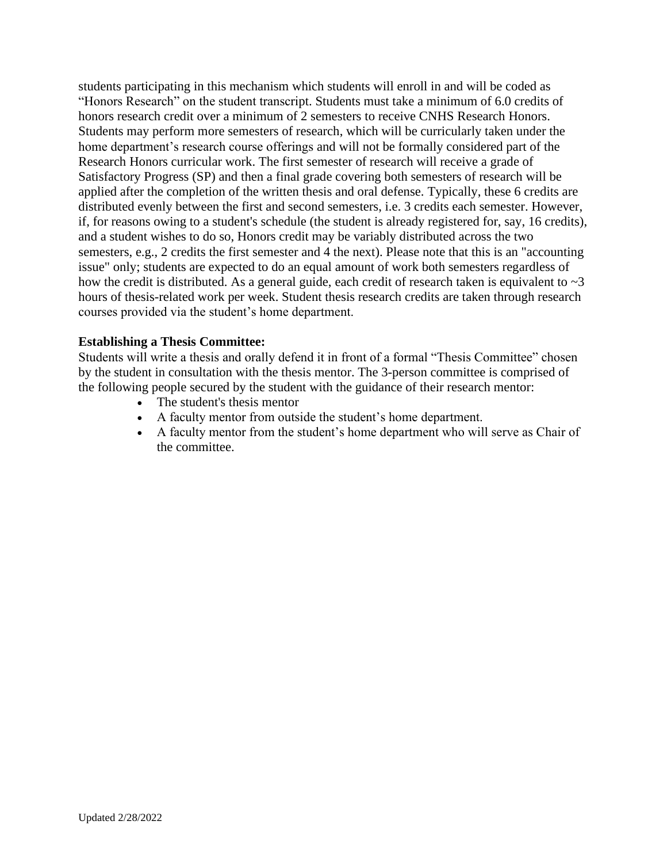students participating in this mechanism which students will enroll in and will be coded as "Honors Research" on the student transcript. Students must take a minimum of 6.0 credits of honors research credit over a minimum of 2 semesters to receive CNHS Research Honors. Students may perform more semesters of research, which will be curricularly taken under the home department's research course offerings and will not be formally considered part of the Research Honors curricular work. The first semester of research will receive a grade of Satisfactory Progress (SP) and then a final grade covering both semesters of research will be applied after the completion of the written thesis and oral defense. Typically, these 6 credits are distributed evenly between the first and second semesters, i.e. 3 credits each semester. However, if, for reasons owing to a student's schedule (the student is already registered for, say, 16 credits), and a student wishes to do so, Honors credit may be variably distributed across the two semesters, e.g., 2 credits the first semester and 4 the next). Please note that this is an "accounting issue" only; students are expected to do an equal amount of work both semesters regardless of how the credit is distributed. As a general guide, each credit of research taken is equivalent to  $\sim$  3 hours of thesis-related work per week. Student thesis research credits are taken through research courses provided via the student's home department.

### **Establishing a Thesis Committee:**

Students will write a thesis and orally defend it in front of a formal "Thesis Committee" chosen by the student in consultation with the thesis mentor. The 3-person committee is comprised of the following people secured by the student with the guidance of their research mentor:

- The student's thesis mentor
- A faculty mentor from outside the student's home department.
- A faculty mentor from the student's home department who will serve as Chair of the committee.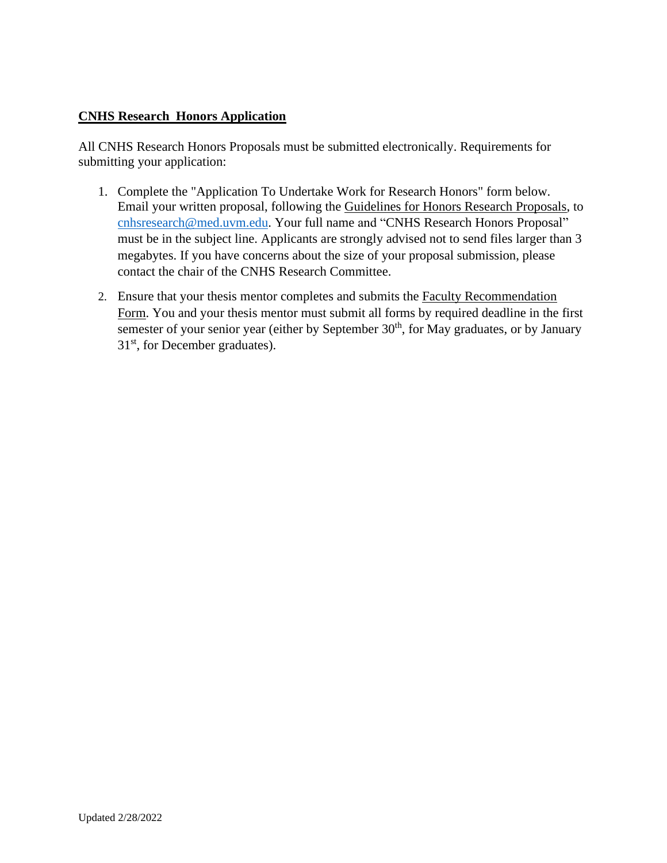## **CNHS Research Honors Application**

All CNHS Research Honors Proposals must be submitted electronically. Requirements for submitting your application:

- 1. Complete the "Application To Undertake Work for Research Honors" form below. Email your written proposal, following the Guidelines for Honors Research Proposals, to [cnhsresearch@med.uvm.edu.](mailto:cnhsresearch@med.uvm.edu) Your full name and "CNHS Research Honors Proposal" must be in the subject line. Applicants are strongly advised not to send files larger than 3 megabytes. If you have concerns about the size of your proposal submission, please contact the chair of the CNHS Research Committee.
- 2. Ensure that your thesis mentor completes and submits the Faculty Recommendation Form. You and your thesis mentor must submit all forms by required deadline in the first semester of your senior year (either by September 30<sup>th</sup>, for May graduates, or by January 31<sup>st</sup>, for December graduates).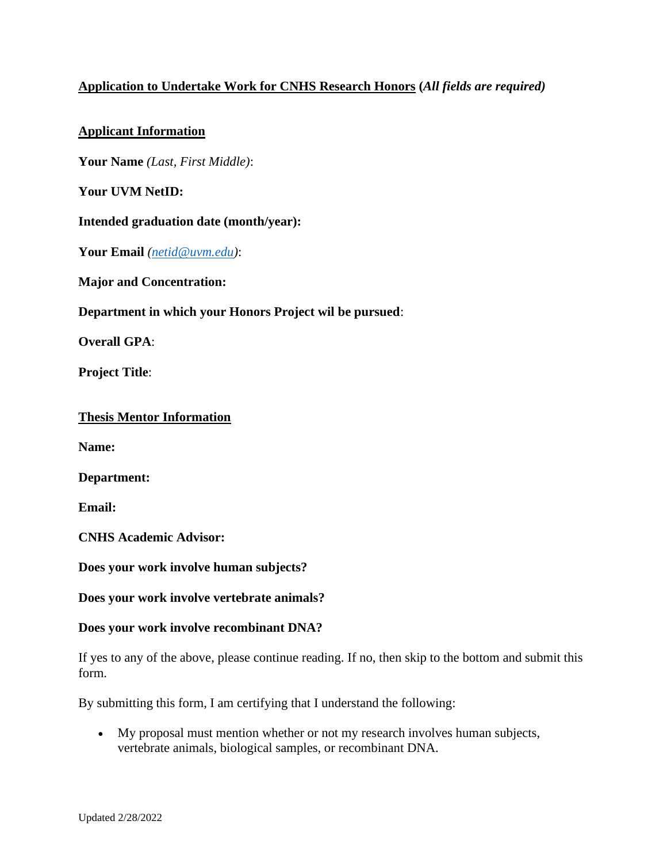## **Application to Undertake Work for CNHS Research Honors (***All fields are required)*

## **Applicant Information**

**Your Name** *(Last, First Middle)*:

**Your UVM NetID:**

### **Intended graduation date (month/year):**

**Your Email** *[\(netid@uvm.edu\)](mailto:netid@uvm.edu)*:

**Major and Concentration:**

**Department in which your Honors Project wil be pursued**:

**Overall GPA**:

**Project Title**:

### **Thesis Mentor Information**

**Name:**

**Department:**

**Email:**

**CNHS Academic Advisor:**

**Does your work involve human subjects?**

**Does your work involve vertebrate animals?**

### **Does your work involve recombinant DNA?**

If yes to any of the above, please continue reading. If no, then skip to the bottom and submit this form.

By submitting this form, I am certifying that I understand the following:

• My proposal must mention whether or not my research involves human subjects, vertebrate animals, biological samples, or recombinant DNA.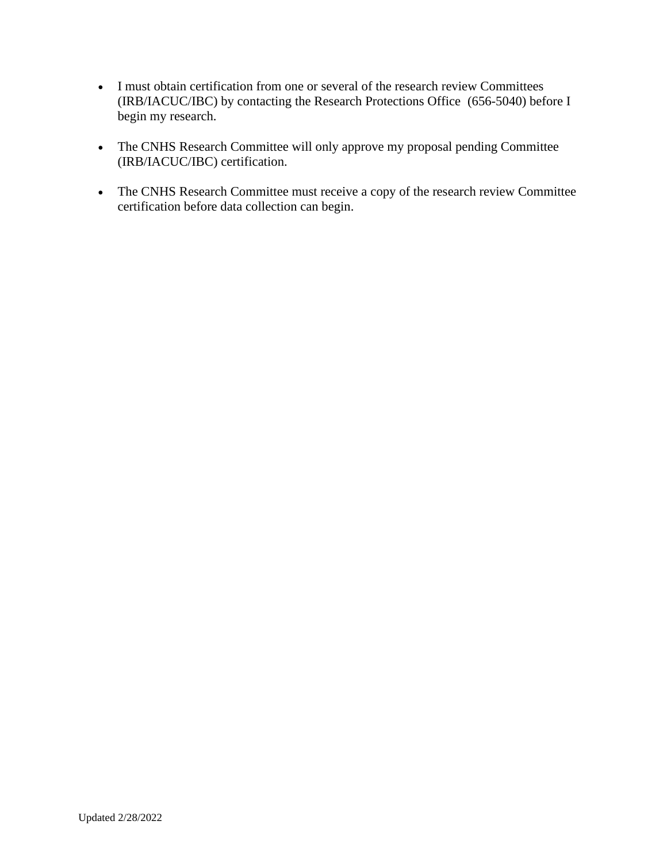- I must obtain certification from one or several of the research review Committees (IRB/IACUC/IBC) by contacting the Research Protections Office (656-5040) before I begin my research.
- The CNHS Research Committee will only approve my proposal pending Committee (IRB/IACUC/IBC) certification.
- The CNHS Research Committee must receive a copy of the research review Committee certification before data collection can begin.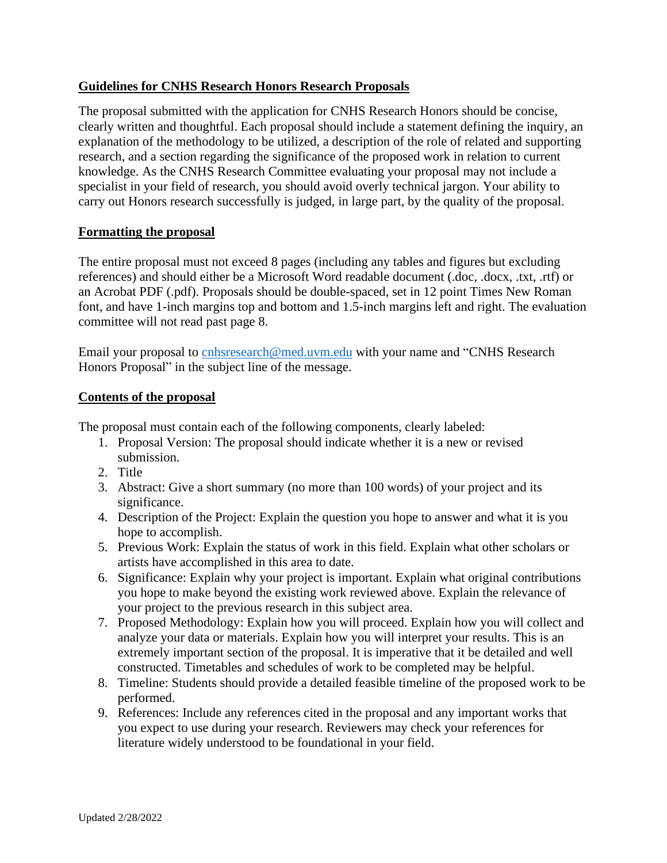## **Guidelines for CNHS Research Honors Research Proposals**

The proposal submitted with the application for CNHS Research Honors should be concise, clearly written and thoughtful. Each proposal should include a statement defining the inquiry, an explanation of the methodology to be utilized, a description of the role of related and supporting research, and a section regarding the significance of the proposed work in relation to current knowledge. As the CNHS Research Committee evaluating your proposal may not include a specialist in your field of research, you should avoid overly technical jargon. Your ability to carry out Honors research successfully is judged, in large part, by the quality of the proposal.

### **Formatting the proposal**

The entire proposal must not exceed 8 pages (including any tables and figures but excluding references) and should either be a Microsoft Word readable document (.doc, .docx, .txt, .rtf) or an Acrobat PDF (.pdf). Proposals should be double-spaced, set in 12 point Times New Roman font, and have 1-inch margins top and bottom and 1.5-inch margins left and right. The evaluation committee will not read past page 8.

Email your proposal to [cnhsresearch@med.uvm.edu](mailto:cnhsresearch@med.uvm.edu) with your name and "CNHS Research Honors Proposal" in the subject line of the message.

#### **Contents of the proposal**

The proposal must contain each of the following components, clearly labeled:

- 1. Proposal Version: The proposal should indicate whether it is a new or revised submission.
- 2. Title
- 3. Abstract: Give a short summary (no more than 100 words) of your project and its significance.
- 4. Description of the Project: Explain the question you hope to answer and what it is you hope to accomplish.
- 5. Previous Work: Explain the status of work in this field. Explain what other scholars or artists have accomplished in this area to date.
- 6. Significance: Explain why your project is important. Explain what original contributions you hope to make beyond the existing work reviewed above. Explain the relevance of your project to the previous research in this subject area.
- 7. Proposed Methodology: Explain how you will proceed. Explain how you will collect and analyze your data or materials. Explain how you will interpret your results. This is an extremely important section of the proposal. It is imperative that it be detailed and well constructed. Timetables and schedules of work to be completed may be helpful.
- 8. Timeline: Students should provide a detailed feasible timeline of the proposed work to be performed.
- 9. References: Include any references cited in the proposal and any important works that you expect to use during your research. Reviewers may check your references for literature widely understood to be foundational in your field.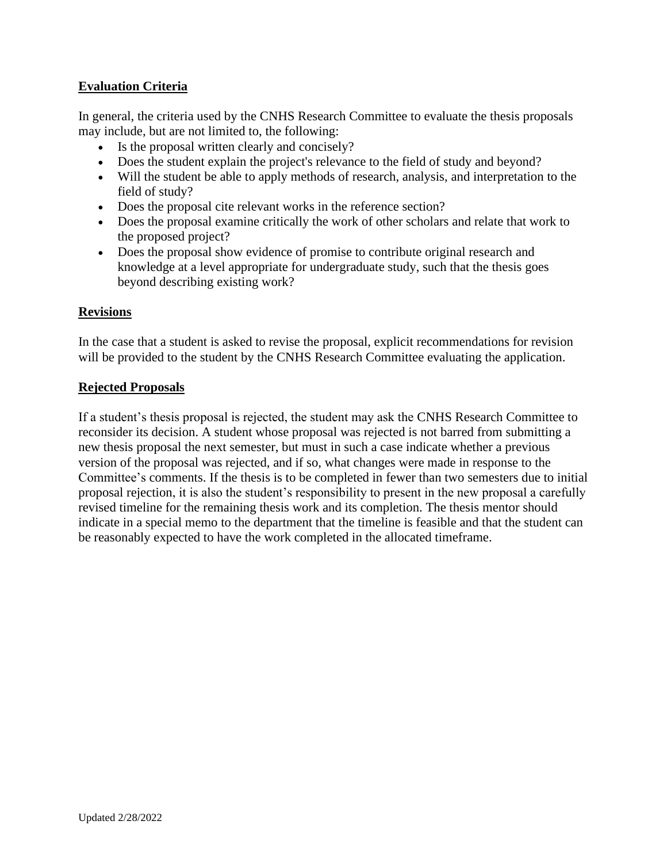## **Evaluation Criteria**

In general, the criteria used by the CNHS Research Committee to evaluate the thesis proposals may include, but are not limited to, the following:

- Is the proposal written clearly and concisely?
- Does the student explain the project's relevance to the field of study and beyond?
- Will the student be able to apply methods of research, analysis, and interpretation to the field of study?
- Does the proposal cite relevant works in the reference section?
- Does the proposal examine critically the work of other scholars and relate that work to the proposed project?
- Does the proposal show evidence of promise to contribute original research and knowledge at a level appropriate for undergraduate study, such that the thesis goes beyond describing existing work?

### **Revisions**

In the case that a student is asked to revise the proposal, explicit recommendations for revision will be provided to the student by the CNHS Research Committee evaluating the application.

### **Rejected Proposals**

If a student's thesis proposal is rejected, the student may ask the CNHS Research Committee to reconsider its decision. A student whose proposal was rejected is not barred from submitting a new thesis proposal the next semester, but must in such a case indicate whether a previous version of the proposal was rejected, and if so, what changes were made in response to the Committee's comments. If the thesis is to be completed in fewer than two semesters due to initial proposal rejection, it is also the student's responsibility to present in the new proposal a carefully revised timeline for the remaining thesis work and its completion. The thesis mentor should indicate in a special memo to the department that the timeline is feasible and that the student can be reasonably expected to have the work completed in the allocated timeframe.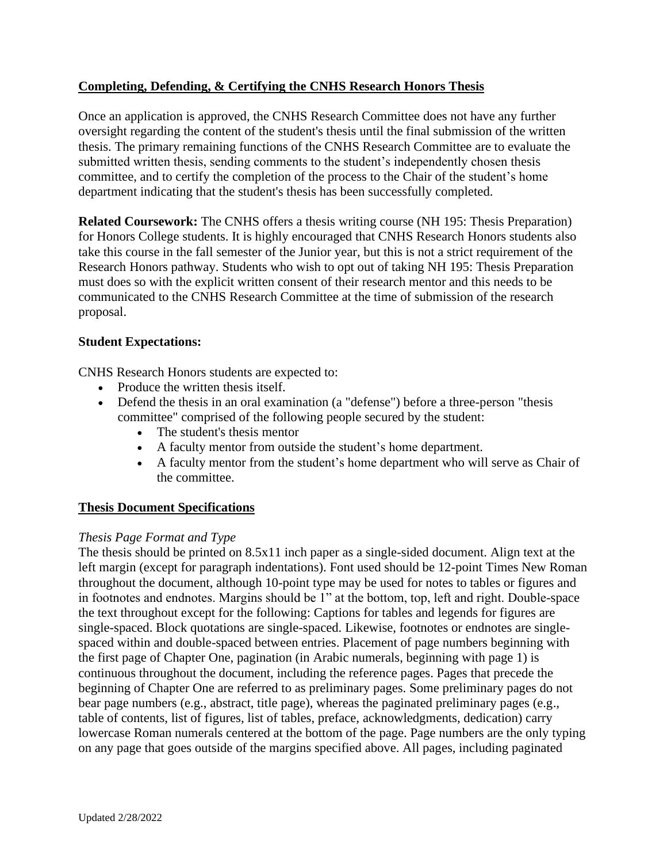## **Completing, Defending, & Certifying the CNHS Research Honors Thesis**

Once an application is approved, the CNHS Research Committee does not have any further oversight regarding the content of the student's thesis until the final submission of the written thesis. The primary remaining functions of the CNHS Research Committee are to evaluate the submitted written thesis, sending comments to the student's independently chosen thesis committee, and to certify the completion of the process to the Chair of the student's home department indicating that the student's thesis has been successfully completed.

**Related Coursework:** The CNHS offers a thesis writing course (NH 195: Thesis Preparation) for Honors College students. It is highly encouraged that CNHS Research Honors students also take this course in the fall semester of the Junior year, but this is not a strict requirement of the Research Honors pathway. Students who wish to opt out of taking NH 195: Thesis Preparation must does so with the explicit written consent of their research mentor and this needs to be communicated to the CNHS Research Committee at the time of submission of the research proposal.

## **Student Expectations:**

CNHS Research Honors students are expected to:

- Produce the written thesis itself.
- Defend the thesis in an oral examination (a "defense") before a three-person "thesis committee" comprised of the following people secured by the student:
	- The student's thesis mentor
	- A faculty mentor from outside the student's home department.
	- A faculty mentor from the student's home department who will serve as Chair of the committee.

## **Thesis Document Specifications**

### *Thesis Page Format and Type*

The thesis should be printed on 8.5x11 inch paper as a single-sided document. Align text at the left margin (except for paragraph indentations). Font used should be 12-point Times New Roman throughout the document, although 10-point type may be used for notes to tables or figures and in footnotes and endnotes. Margins should be 1" at the bottom, top, left and right. Double-space the text throughout except for the following: Captions for tables and legends for figures are single-spaced. Block quotations are single-spaced. Likewise, footnotes or endnotes are singlespaced within and double-spaced between entries. Placement of page numbers beginning with the first page of Chapter One, pagination (in Arabic numerals, beginning with page 1) is continuous throughout the document, including the reference pages. Pages that precede the beginning of Chapter One are referred to as preliminary pages. Some preliminary pages do not bear page numbers (e.g., abstract, title page), whereas the paginated preliminary pages (e.g., table of contents, list of figures, list of tables, preface, acknowledgments, dedication) carry lowercase Roman numerals centered at the bottom of the page. Page numbers are the only typing on any page that goes outside of the margins specified above. All pages, including paginated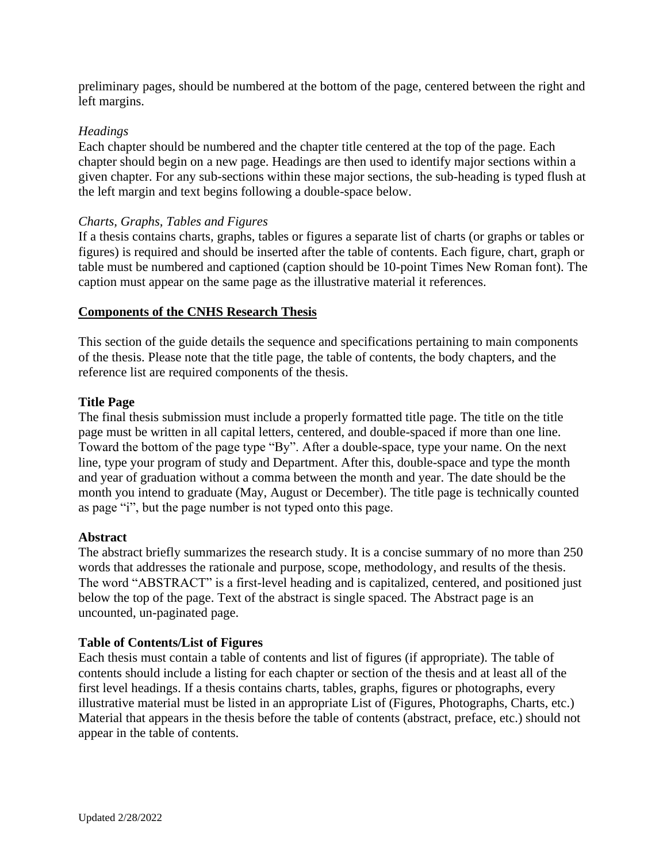preliminary pages, should be numbered at the bottom of the page, centered between the right and left margins.

## *Headings*

Each chapter should be numbered and the chapter title centered at the top of the page. Each chapter should begin on a new page. Headings are then used to identify major sections within a given chapter. For any sub-sections within these major sections, the sub-heading is typed flush at the left margin and text begins following a double-space below.

### *Charts, Graphs, Tables and Figures*

If a thesis contains charts, graphs, tables or figures a separate list of charts (or graphs or tables or figures) is required and should be inserted after the table of contents. Each figure, chart, graph or table must be numbered and captioned (caption should be 10-point Times New Roman font). The caption must appear on the same page as the illustrative material it references.

## **Components of the CNHS Research Thesis**

This section of the guide details the sequence and specifications pertaining to main components of the thesis. Please note that the title page, the table of contents, the body chapters, and the reference list are required components of the thesis.

## **Title Page**

The final thesis submission must include a properly formatted title page. The title on the title page must be written in all capital letters, centered, and double-spaced if more than one line. Toward the bottom of the page type "By". After a double-space, type your name. On the next line, type your program of study and Department. After this, double-space and type the month and year of graduation without a comma between the month and year. The date should be the month you intend to graduate (May, August or December). The title page is technically counted as page "i", but the page number is not typed onto this page.

### **Abstract**

The abstract briefly summarizes the research study. It is a concise summary of no more than 250 words that addresses the rationale and purpose, scope, methodology, and results of the thesis. The word "ABSTRACT" is a first-level heading and is capitalized, centered, and positioned just below the top of the page. Text of the abstract is single spaced. The Abstract page is an uncounted, un-paginated page.

### **Table of Contents/List of Figures**

Each thesis must contain a table of contents and list of figures (if appropriate). The table of contents should include a listing for each chapter or section of the thesis and at least all of the first level headings. If a thesis contains charts, tables, graphs, figures or photographs, every illustrative material must be listed in an appropriate List of (Figures, Photographs, Charts, etc.) Material that appears in the thesis before the table of contents (abstract, preface, etc.) should not appear in the table of contents.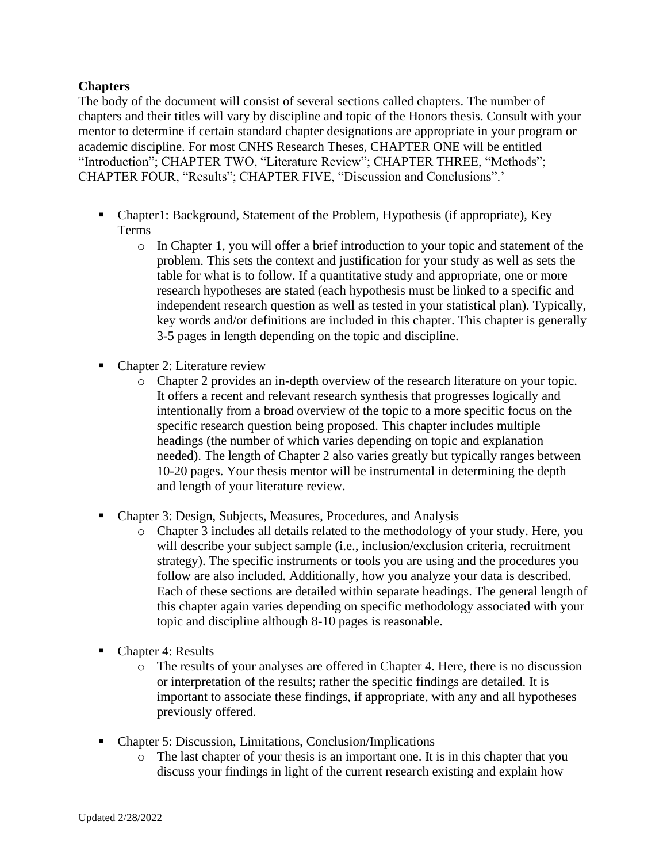## **Chapters**

The body of the document will consist of several sections called chapters. The number of chapters and their titles will vary by discipline and topic of the Honors thesis. Consult with your mentor to determine if certain standard chapter designations are appropriate in your program or academic discipline. For most CNHS Research Theses, CHAPTER ONE will be entitled "Introduction"; CHAPTER TWO, "Literature Review"; CHAPTER THREE, "Methods"; CHAPTER FOUR, "Results"; CHAPTER FIVE, "Discussion and Conclusions".'

- Chapter1: Background, Statement of the Problem, Hypothesis (if appropriate), Key Terms
	- o In Chapter 1, you will offer a brief introduction to your topic and statement of the problem. This sets the context and justification for your study as well as sets the table for what is to follow. If a quantitative study and appropriate, one or more research hypotheses are stated (each hypothesis must be linked to a specific and independent research question as well as tested in your statistical plan). Typically, key words and/or definitions are included in this chapter. This chapter is generally 3-5 pages in length depending on the topic and discipline.
- Chapter 2: Literature review
	- o Chapter 2 provides an in-depth overview of the research literature on your topic. It offers a recent and relevant research synthesis that progresses logically and intentionally from a broad overview of the topic to a more specific focus on the specific research question being proposed. This chapter includes multiple headings (the number of which varies depending on topic and explanation needed). The length of Chapter 2 also varies greatly but typically ranges between 10-20 pages. Your thesis mentor will be instrumental in determining the depth and length of your literature review.
- Chapter 3: Design, Subjects, Measures, Procedures, and Analysis
	- o Chapter 3 includes all details related to the methodology of your study. Here, you will describe your subject sample (i.e., inclusion/exclusion criteria, recruitment strategy). The specific instruments or tools you are using and the procedures you follow are also included. Additionally, how you analyze your data is described. Each of these sections are detailed within separate headings. The general length of this chapter again varies depending on specific methodology associated with your topic and discipline although 8-10 pages is reasonable.
- Chapter 4: Results
	- o The results of your analyses are offered in Chapter 4. Here, there is no discussion or interpretation of the results; rather the specific findings are detailed. It is important to associate these findings, if appropriate, with any and all hypotheses previously offered.
- Chapter 5: Discussion, Limitations, Conclusion/Implications
	- o The last chapter of your thesis is an important one. It is in this chapter that you discuss your findings in light of the current research existing and explain how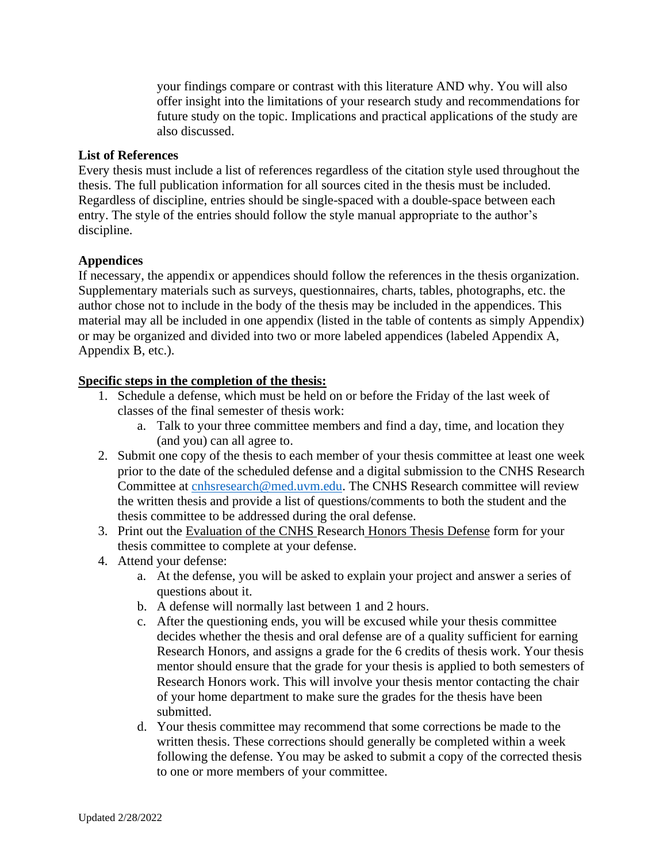your findings compare or contrast with this literature AND why. You will also offer insight into the limitations of your research study and recommendations for future study on the topic. Implications and practical applications of the study are also discussed.

### **List of References**

Every thesis must include a list of references regardless of the citation style used throughout the thesis. The full publication information for all sources cited in the thesis must be included. Regardless of discipline, entries should be single-spaced with a double-space between each entry. The style of the entries should follow the style manual appropriate to the author's discipline.

## **Appendices**

If necessary, the appendix or appendices should follow the references in the thesis organization. Supplementary materials such as surveys, questionnaires, charts, tables, photographs, etc. the author chose not to include in the body of the thesis may be included in the appendices. This material may all be included in one appendix (listed in the table of contents as simply Appendix) or may be organized and divided into two or more labeled appendices (labeled Appendix A, Appendix B, etc.).

## **Specific steps in the completion of the thesis:**

- 1. Schedule a defense, which must be held on or before the Friday of the last week of classes of the final semester of thesis work:
	- a. Talk to your three committee members and find a day, time, and location they (and you) can all agree to.
- 2. Submit one copy of the thesis to each member of your thesis committee at least one week prior to the date of the scheduled defense and a digital submission to the CNHS Research Committee at [cnhsresearch@med.uvm.edu.](mailto:cnhsresearch@med.uvm.edu) The CNHS Research committee will review the written thesis and provide a list of questions/comments to both the student and the thesis committee to be addressed during the oral defense.
- 3. Print out the Evaluation of the CNHS Research Honors Thesis Defense form for your thesis committee to complete at your defense.
- 4. Attend your defense:
	- a. At the defense, you will be asked to explain your project and answer a series of questions about it.
	- b. A defense will normally last between 1 and 2 hours.
	- c. After the questioning ends, you will be excused while your thesis committee decides whether the thesis and oral defense are of a quality sufficient for earning Research Honors, and assigns a grade for the 6 credits of thesis work. Your thesis mentor should ensure that the grade for your thesis is applied to both semesters of Research Honors work. This will involve your thesis mentor contacting the chair of your home department to make sure the grades for the thesis have been submitted.
	- d. Your thesis committee may recommend that some corrections be made to the written thesis. These corrections should generally be completed within a week following the defense. You may be asked to submit a copy of the corrected thesis to one or more members of your committee.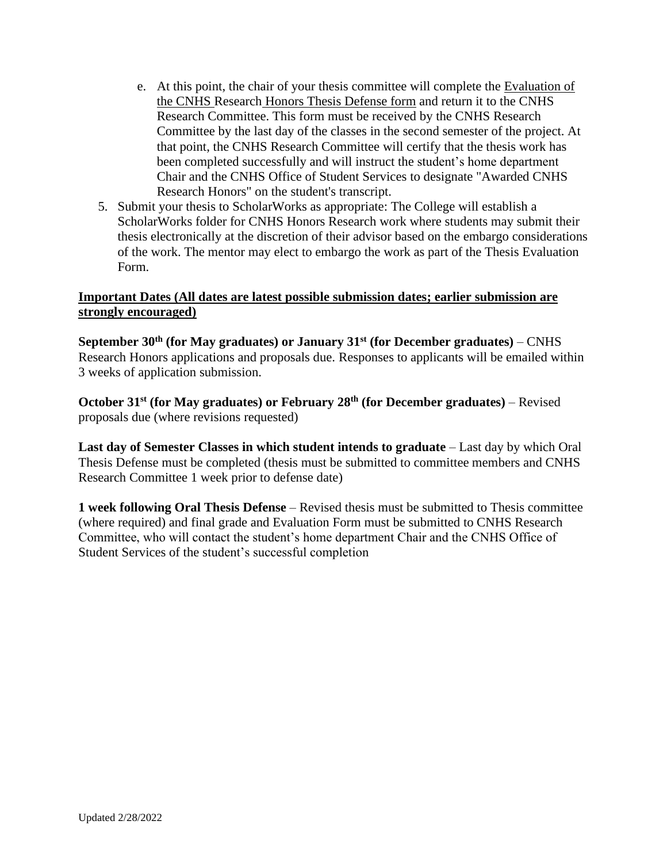- e. At this point, the chair of your thesis committee will complete the Evaluation of the CNHS Research Honors Thesis Defense form and return it to the CNHS Research Committee. This form must be received by the CNHS Research Committee by the last day of the classes in the second semester of the project. At that point, the CNHS Research Committee will certify that the thesis work has been completed successfully and will instruct the student's home department Chair and the CNHS Office of Student Services to designate "Awarded CNHS Research Honors" on the student's transcript.
- 5. Submit your thesis to ScholarWorks as appropriate: The College will establish a ScholarWorks folder for CNHS Honors Research work where students may submit their thesis electronically at the discretion of their advisor based on the embargo considerations of the work. The mentor may elect to embargo the work as part of the Thesis Evaluation Form.

## **Important Dates (All dates are latest possible submission dates; earlier submission are strongly encouraged)**

**September 30th (for May graduates) or January 31st (for December graduates)** – CNHS Research Honors applications and proposals due. Responses to applicants will be emailed within 3 weeks of application submission.

**October 31st (for May graduates) or February 28th (for December graduates)** – Revised proposals due (where revisions requested)

**Last day of Semester Classes in which student intends to graduate** – Last day by which Oral Thesis Defense must be completed (thesis must be submitted to committee members and CNHS Research Committee 1 week prior to defense date)

**1 week following Oral Thesis Defense** – Revised thesis must be submitted to Thesis committee (where required) and final grade and Evaluation Form must be submitted to CNHS Research Committee, who will contact the student's home department Chair and the CNHS Office of Student Services of the student's successful completion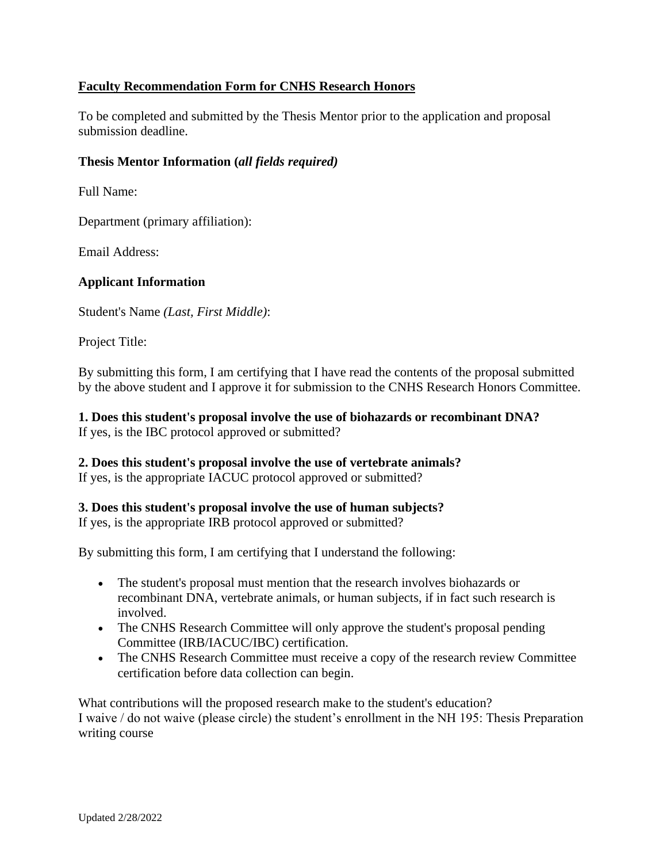## **Faculty Recommendation Form for CNHS Research Honors**

To be completed and submitted by the Thesis Mentor prior to the application and proposal submission deadline.

## **Thesis Mentor Information (***all fields required)*

Full Name:

Department (primary affiliation):

Email Address:

## **Applicant Information**

Student's Name *(Last, First Middle)*:

Project Title:

By submitting this form, I am certifying that I have read the contents of the proposal submitted by the above student and I approve it for submission to the CNHS Research Honors Committee.

**1. Does this student's proposal involve the use of biohazards or recombinant DNA?** If yes, is the IBC protocol approved or submitted?

**2. Does this student's proposal involve the use of vertebrate animals?** If yes, is the appropriate IACUC protocol approved or submitted?

### **3. Does this student's proposal involve the use of human subjects?**

If yes, is the appropriate IRB protocol approved or submitted?

By submitting this form, I am certifying that I understand the following:

- The student's proposal must mention that the research involves biohazards or recombinant DNA, vertebrate animals, or human subjects, if in fact such research is involved.
- The CNHS Research Committee will only approve the student's proposal pending Committee (IRB/IACUC/IBC) certification.
- The CNHS Research Committee must receive a copy of the research review Committee certification before data collection can begin.

What contributions will the proposed research make to the student's education? I waive / do not waive (please circle) the student's enrollment in the NH 195: Thesis Preparation writing course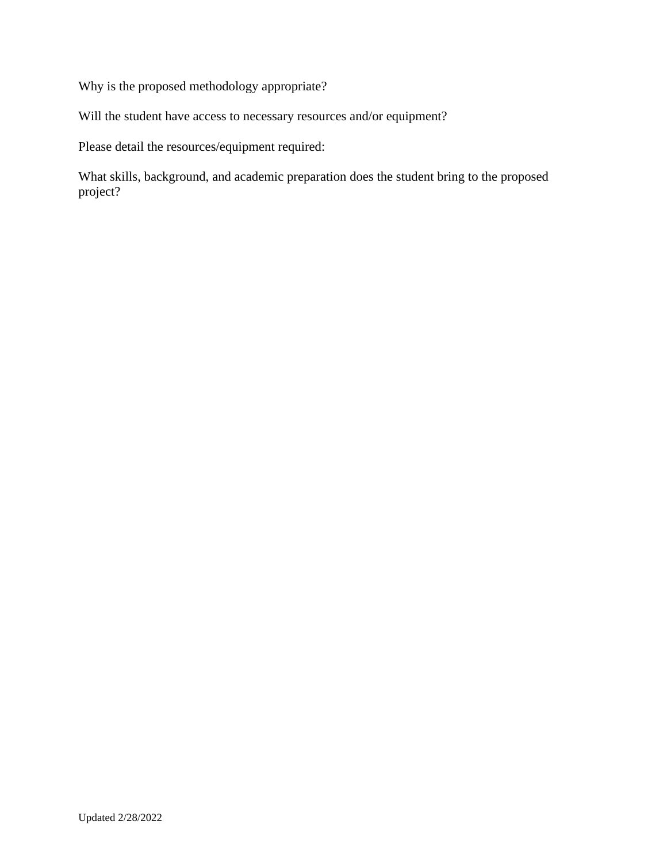Why is the proposed methodology appropriate?

Will the student have access to necessary resources and/or equipment?

Please detail the resources/equipment required:

What skills, background, and academic preparation does the student bring to the proposed project?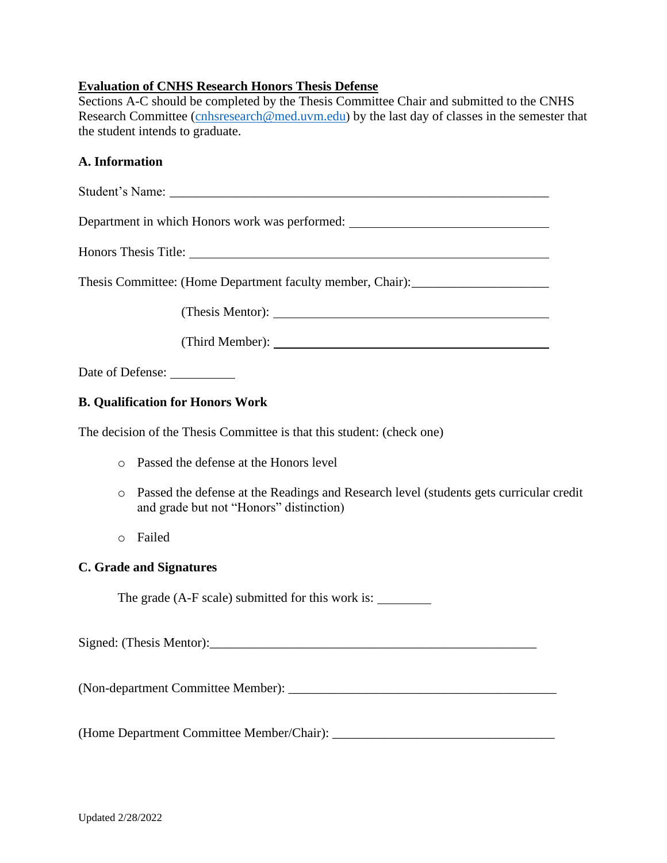## **Evaluation of CNHS Research Honors Thesis Defense**

Sections A-C should be completed by the Thesis Committee Chair and submitted to the CNHS Research Committee [\(cnhsresearch@med.uvm.edu](mailto:cnhsresearch@med.uvm.edu)) by the last day of classes in the semester that the student intends to graduate.

#### **A. Information**

Student's Name: \_\_\_\_\_\_\_\_\_\_\_\_\_\_\_\_\_\_\_\_\_\_\_\_\_\_\_\_\_\_\_\_\_\_\_\_\_\_\_\_\_\_\_\_\_\_\_\_\_\_\_\_\_\_\_\_\_\_

Department in which Honors work was performed:

Honors Thesis Title:

Thesis Committee: (Home Department faculty member, Chair): \_\_\_\_\_\_\_\_\_\_\_\_\_\_\_\_\_\_\_\_\_

(Thesis Mentor):

(Third Member):

Date of Defense:

### **B. Qualification for Honors Work**

The decision of the Thesis Committee is that this student: (check one)

- o Passed the defense at the Honors level
- o Passed the defense at the Readings and Research level (students gets curricular credit and grade but not "Honors" distinction)
- o Failed

#### **C. Grade and Signatures**

The grade (A-F scale) submitted for this work is:

Signed: (Thesis Mentor):

(Non-department Committee Member): \_\_\_\_\_\_\_\_\_\_\_\_\_\_\_\_\_\_\_\_\_\_\_\_\_\_\_\_\_\_\_\_\_\_\_\_\_\_\_\_\_

(Home Department Committee Member/Chair):